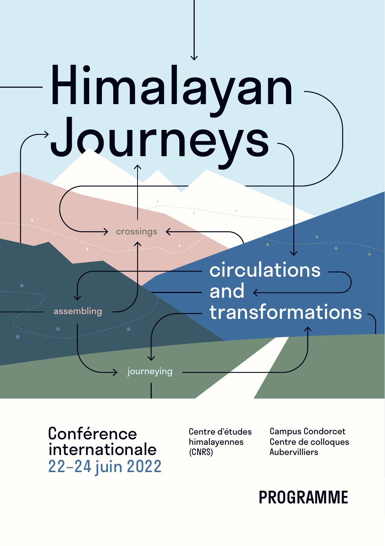# Himalayan Journeys

crossings

journeying

circulations and transformations

**Conférence** internationale 22–24 juin 2022

assembling

Centre d'études himalayennes (CNRS)

Campus Condorcet Centre de colloques Aubervilliers

## PROGRAMME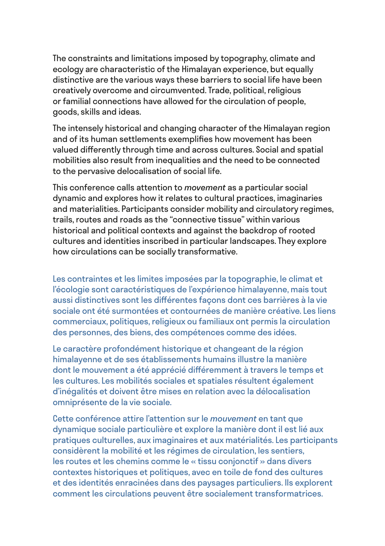The constraints and limitations imposed by topography, climate and ecology are characteristic of the Himalayan experience, but equally distinctive are the various ways these barriers to social life have been creatively overcome and circumvented. Trade, political, religious or familial connections have allowed for the circulation of people, goods, skills and ideas.

The intensely historical and changing character of the Himalayan region and of its human settlements exemplifies how movement has been valued differently through time and across cultures. Social and spatial mobilities also result from inequalities and the need to be connected to the pervasive delocalisation of social life.

This conference calls attention to *movement* as a particular social dynamic and explores how it relates to cultural practices, imaginaries and materialities. Participants consider mobility and circulatory regimes, trails, routes and roads as the "connective tissue" within various historical and political contexts and against the backdrop of rooted cultures and identities inscribed in particular landscapes. They explore how circulations can be socially transformative.

Les contraintes et les limites imposées par la topographie, le climat et l'écologie sont caractéristiques de l'expérience himalayenne, mais tout aussi distinctives sont les différentes façons dont ces barrières à la vie sociale ont été surmontées et contournées de manière créative. Les liens commerciaux, politiques, religieux ou familiaux ont permis la circulation des personnes, des biens, des compétences comme des idées.

Le caractère profondément historique et changeant de la région himalayenne et de ses établissements humains illustre la manière dont le mouvement a été apprécié différemment à travers le temps et les cultures. Les mobilités sociales et spatiales résultent également d'inégalités et doivent être mises en relation avec la délocalisation omniprésente de la vie sociale.

Cette conférence attire l'attention sur le *mouvement* en tant que dynamique sociale particulière et explore la manière dont il est lié aux pratiques culturelles, aux imaginaires et aux matérialités. Les participants considèrent la mobilité et les régimes de circulation, les sentiers, les routes et les chemins comme le « tissu conjonctif » dans divers contextes historiques et politiques, avec en toile de fond des cultures et des identités enracinées dans des paysages particuliers. Ils explorent comment les circulations peuvent être socialement transformatrices.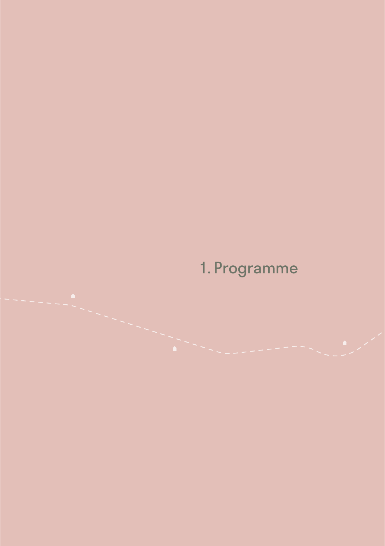## 1. Programme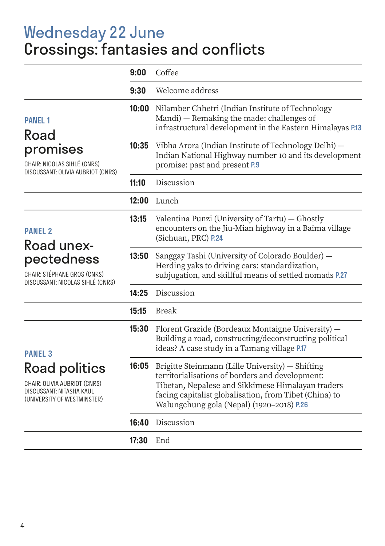## Wednesday 22 June Crossings: fantasies and conflicts

|                                                                                                          | 9:00  | Coffee                                                                                                                                                                                                                                                          |
|----------------------------------------------------------------------------------------------------------|-------|-----------------------------------------------------------------------------------------------------------------------------------------------------------------------------------------------------------------------------------------------------------------|
|                                                                                                          | 9:30  | Welcome address                                                                                                                                                                                                                                                 |
| <b>PANFI<sub>1</sub></b><br>Road                                                                         |       | 10:00 Nilamber Chhetri (Indian Institute of Technology<br>Mandi) - Remaking the made: challenges of<br>infrastructural development in the Eastern Himalayas P.13                                                                                                |
| promises<br>CHAIR: NICOLAS SIHLÉ (CNRS)<br>DISCUSSANT: OLIVIA AUBRIOT (CNRS)                             | 10:35 | Vibha Arora (Indian Institute of Technology Delhi) -<br>Indian National Highway number 10 and its development<br>promise: past and present P.9                                                                                                                  |
|                                                                                                          | 11:10 | Discussion                                                                                                                                                                                                                                                      |
|                                                                                                          | 12:00 | Lunch                                                                                                                                                                                                                                                           |
| <b>PANEL 2</b><br>Road unex-                                                                             | 13:15 | Valentina Punzi (University of Tartu) - Ghostly<br>encounters on the Jiu-Mian highway in a Baima village<br>(Sichuan, PRC) P.24                                                                                                                                 |
| pectedness<br>CHAIR: STÉPHANE GROS (CNRS)<br>DISCUSSANT: NICOLAS SIHLÉ (CNRS)                            | 13:50 | Sanggay Tashi (University of Colorado Boulder) -<br>Herding yaks to driving cars: standardization,<br>subjugation, and skillful means of settled nomads P.27                                                                                                    |
|                                                                                                          | 14:25 | Discussion                                                                                                                                                                                                                                                      |
|                                                                                                          | 15:15 | <b>Break</b>                                                                                                                                                                                                                                                    |
| <b>PANEL 3</b>                                                                                           | 15:30 | Florent Grazide (Bordeaux Montaigne University) -<br>Building a road, constructing/deconstructing political<br>ideas? A case study in a Tamang village P.17                                                                                                     |
| Road politics<br>CHAIR: OLIVIA AUBRIOT (CNRS)<br>DISCUSSANT: NITASHA KAUL<br>(UNIVERSITY OF WESTMINSTER) | 16:05 | Brigitte Steinmann (Lille University) - Shifting<br>territorialisations of borders and development:<br>Tibetan, Nepalese and Sikkimese Himalayan traders<br>facing capitalist globalisation, from Tibet (China) to<br>Walungchung gola (Nepal) (1920-2018) P.26 |
|                                                                                                          | 16:40 | Discussion                                                                                                                                                                                                                                                      |
|                                                                                                          | 17:30 | End                                                                                                                                                                                                                                                             |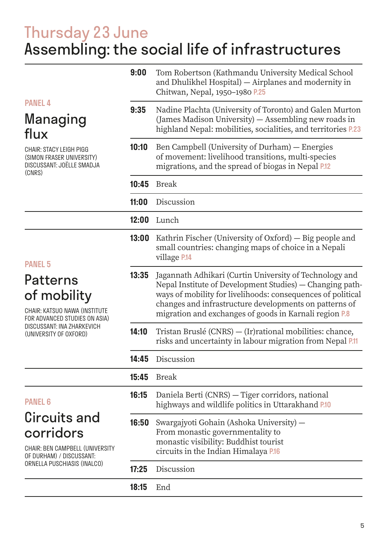## Thursday 23 June Assembling: the social life of infrastructures

|                                                                                                                                                   | 9:00  | Tom Robertson (Kathmandu University Medical School<br>and Dhulikhel Hospital) - Airplanes and modernity in<br>Chitwan, Nepal, 1950-1980 P.25                                                                                                                                                           |  |
|---------------------------------------------------------------------------------------------------------------------------------------------------|-------|--------------------------------------------------------------------------------------------------------------------------------------------------------------------------------------------------------------------------------------------------------------------------------------------------------|--|
| <b>PANEL 4</b><br>Managing<br>flux<br><b>CHAIR: STACY LEIGH PIGG</b><br>(SIMON FRASER UNIVERSITY)<br>DISCUSSANT: JOËLLE SMADJA<br>(CNRS)          | 9:35  | Nadine Plachta (University of Toronto) and Galen Murton<br>(James Madison University) - Assembling new roads in<br>highland Nepal: mobilities, socialities, and territories P.23                                                                                                                       |  |
|                                                                                                                                                   | 10:10 | Ben Campbell (University of Durham) - Energies<br>of movement: livelihood transitions, multi-species<br>migrations, and the spread of biogas in Nepal P.12                                                                                                                                             |  |
|                                                                                                                                                   | 10:45 | <b>Break</b>                                                                                                                                                                                                                                                                                           |  |
|                                                                                                                                                   | 11:00 | Discussion                                                                                                                                                                                                                                                                                             |  |
|                                                                                                                                                   | 12:00 | Lunch                                                                                                                                                                                                                                                                                                  |  |
| <b>PANEL 5</b>                                                                                                                                    | 13:00 | Kathrin Fischer (University of Oxford) — Big people and<br>small countries: changing maps of choice in a Nepali<br>village P.14                                                                                                                                                                        |  |
| Patterns<br>of mobility<br>CHAIR: KATSUO NAWA (INSTITUTE<br>FOR ADVANCED STUDIES ON ASIA)<br>DISCUSSANT: INA ZHARKEVICH<br>(UNIVERSITY OF OXFORD) | 13:35 | Jagannath Adhikari (Curtin University of Technology and<br>Nepal Institute of Development Studies) - Changing path-<br>ways of mobility for livelihoods: consequences of political<br>changes and infrastructure developments on patterns of<br>migration and exchanges of goods in Karnali region P.8 |  |
|                                                                                                                                                   | 14:10 | Tristan Bruslé (CNRS) - (Ir) rational mobilities: chance,<br>risks and uncertainty in labour migration from Nepal P.11                                                                                                                                                                                 |  |
|                                                                                                                                                   | 14:45 | Discussion                                                                                                                                                                                                                                                                                             |  |
|                                                                                                                                                   | 15:45 | <b>Break</b>                                                                                                                                                                                                                                                                                           |  |
| <b>PANEL 6</b>                                                                                                                                    | 16:15 | Daniela Berti (CNRS) - Tiger corridors, national<br>highways and wildlife politics in Uttarakhand P.10                                                                                                                                                                                                 |  |
| Circuits and<br>corridors<br><b>CHAIR: BEN CAMPBELL (UNIVERSITY</b><br>OF DURHAM) / DISCUSSANT:                                                   | 16:50 | Swargajyoti Gohain (Ashoka University) -<br>From monastic governmentality to<br>monastic visibility: Buddhist tourist<br>circuits in the Indian Himalaya P.16                                                                                                                                          |  |
| ORNELLA PUSCHIASIS (INALCO)                                                                                                                       | 17:25 | Discussion                                                                                                                                                                                                                                                                                             |  |
|                                                                                                                                                   | 18:15 | End                                                                                                                                                                                                                                                                                                    |  |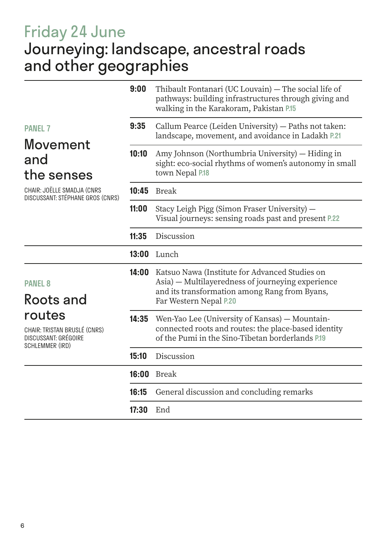## Friday 24 June Journeying: landscape, ancestral roads and other geographies

| 9:00  | Thibault Fontanari (UC Louvain) — The social life of<br>pathways: building infrastructures through giving and<br>walking in the Karakoram, Pakistan P.15   |  |
|-------|------------------------------------------------------------------------------------------------------------------------------------------------------------|--|
| 9:35  | Callum Pearce (Leiden University) - Paths not taken:<br>landscape, movement, and avoidance in Ladakh P.21                                                  |  |
| 10:10 | Amy Johnson (Northumbria University) — Hiding in<br>sight: eco-social rhythms of women's autonomy in small<br>town Nepal P.18                              |  |
| 10:45 | Break                                                                                                                                                      |  |
| 11:00 | Stacy Leigh Pigg (Simon Fraser University) -<br>Visual journeys: sensing roads past and present P.22                                                       |  |
| 11:35 | Discussion                                                                                                                                                 |  |
| 13:00 | Lunch                                                                                                                                                      |  |
| 14:00 | Katsuo Nawa (Institute for Advanced Studies on<br>Asia) — Multilayeredness of journeying experience<br>and its transformation among Rang from Byans,       |  |
|       | Far Western Nepal P.20                                                                                                                                     |  |
| 14:35 | Wen-Yao Lee (University of Kansas) — Mountain-<br>connected roots and routes: the place-based identity<br>of the Pumi in the Sino-Tibetan borderlands P.19 |  |
| 15:10 | Discussion                                                                                                                                                 |  |
| 16:00 | Break                                                                                                                                                      |  |
| 16:15 | General discussion and concluding remarks                                                                                                                  |  |
| 17:30 | End                                                                                                                                                        |  |
|       |                                                                                                                                                            |  |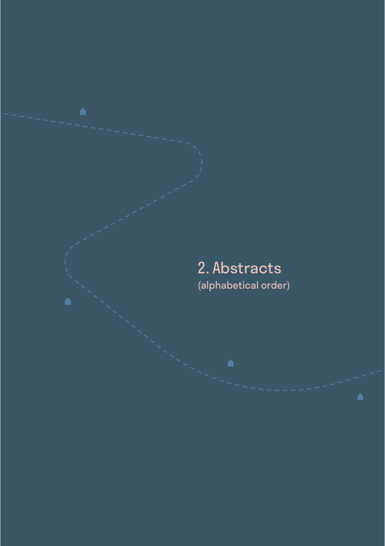### 2. Abstracts (alphabetical order)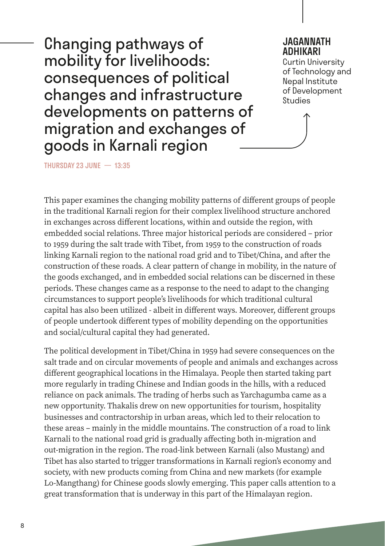Changing pathways of mobility for livelihoods: consequences of political changes and infrastructure developments on patterns of migration and exchanges of goods in Karnali region

#### JAGANNATH ADHIKARI

Curtin University of Technology and Nepal Institute of Development **Studies** 

THURSDAY 23 JUNE — 13:35

This paper examines the changing mobility patterns of different groups of people in the traditional Karnali region for their complex livelihood structure anchored in exchanges across different locations, within and outside the region, with embedded social relations. Three major historical periods are considered – prior to 1959 during the salt trade with Tibet, from 1959 to the construction of roads linking Karnali region to the national road grid and to Tibet/China, and after the construction of these roads. A clear pattern of change in mobility, in the nature of the goods exchanged, and in embedded social relations can be discerned in these periods. These changes came as a response to the need to adapt to the changing circumstances to support people's livelihoods for which traditional cultural capital has also been utilized - albeit in different ways. Moreover, different groups of people undertook different types of mobility depending on the opportunities and social/cultural capital they had generated.

The political development in Tibet/China in 1959 had severe consequences on the salt trade and on circular movements of people and animals and exchanges across different geographical locations in the Himalaya. People then started taking part more regularly in trading Chinese and Indian goods in the hills, with a reduced reliance on pack animals. The trading of herbs such as Yarchagumba came as a new opportunity. Thakalis drew on new opportunities for tourism, hospitality businesses and contractorship in urban areas, which led to their relocation to these areas – mainly in the middle mountains. The construction of a road to link Karnali to the national road grid is gradually affecting both in-migration and out-migration in the region. The road-link between Karnali (also Mustang) and Tibet has also started to trigger transformations in Karnali region's economy and society, with new products coming from China and new markets (for example Lo-Mangthang) for Chinese goods slowly emerging. This paper calls attention to a great transformation that is underway in this part of the Himalayan region.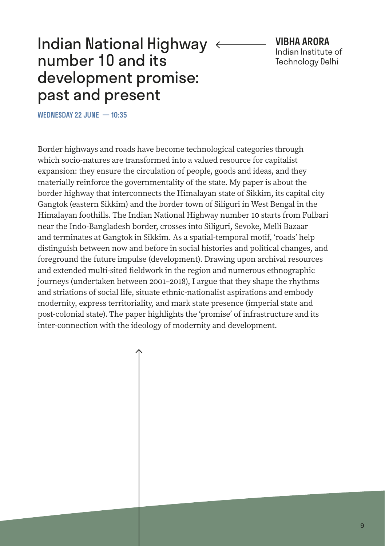#### Indian National Highway  $\epsilon$ number 10 and its development promise: past and present

VIBHA ARORA Indian Institute of Technology Delhi

WEDNESDAY 22 JUNE - 10:35

Border highways and roads have become technological categories through which socio-natures are transformed into a valued resource for capitalist expansion: they ensure the circulation of people, goods and ideas, and they materially reinforce the governmentality of the state. My paper is about the border highway that interconnects the Himalayan state of Sikkim, its capital city Gangtok (eastern Sikkim) and the border town of Siliguri in West Bengal in the Himalayan foothills. The Indian National Highway number 10 starts from Fulbari near the Indo-Bangladesh border, crosses into Siliguri, Sevoke, Melli Bazaar and terminates at Gangtok in Sikkim. As a spatial-temporal motif, 'roads' help distinguish between now and before in social histories and political changes, and foreground the future impulse (development). Drawing upon archival resources and extended multi-sited fieldwork in the region and numerous ethnographic journeys (undertaken between 2001–2018), I argue that they shape the rhythms and striations of social life, situate ethnic-nationalist aspirations and embody modernity, express territoriality, and mark state presence (imperial state and post-colonial state). The paper highlights the 'promise' of infrastructure and its inter-connection with the ideology of modernity and development.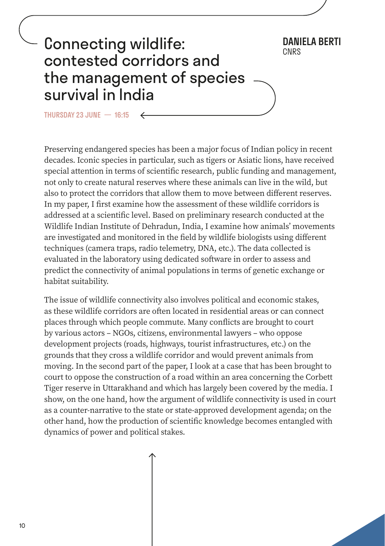### Connecting wildlife: contested corridors and the management of species survival in India

THURSDAY 23 JUNE  $-$  16:15

Preserving endangered species has been a major focus of Indian policy in recent decades. Iconic species in particular, such as tigers or Asiatic lions, have received special attention in terms of scientific research, public funding and management, not only to create natural reserves where these animals can live in the wild, but also to protect the corridors that allow them to move between different reserves. In my paper, I first examine how the assessment of these wildlife corridors is addressed at a scientific level. Based on preliminary research conducted at the Wildlife Indian Institute of Dehradun, India, I examine how animals' movements are investigated and monitored in the field by wildlife biologists using different techniques (camera traps, radio telemetry, DNA, etc.). The data collected is evaluated in the laboratory using dedicated software in order to assess and predict the connectivity of animal populations in terms of genetic exchange or habitat suitability.

DANIELA BERTI

The issue of wildlife connectivity also involves political and economic stakes, as these wildlife corridors are often located in residential areas or can connect places through which people commute. Many conflicts are brought to court by various actors – NGOs, citizens, environmental lawyers – who oppose development projects (roads, highways, tourist infrastructures, etc.) on the grounds that they cross a wildlife corridor and would prevent animals from moving. In the second part of the paper, I look at a case that has been brought to court to oppose the construction of a road within an area concerning the Corbett Tiger reserve in Uttarakhand and which has largely been covered by the media. I show, on the one hand, how the argument of wildlife connectivity is used in court as a counter-narrative to the state or state-approved development agenda; on the other hand, how the production of scientific knowledge becomes entangled with dynamics of power and political stakes.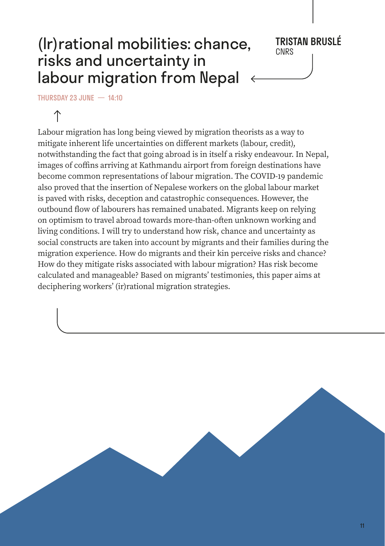#### $(lr)$ rational mobilities: chance, risks and uncertainty in labour migration from Nepal

## **TRISTAN BRUSLÉ**<br>CNRS

THURSDAY 23 JUNE — 14:10

Labour migration has long being viewed by migration theorists as a way to mitigate inherent life uncertainties on different markets (labour, credit), notwithstanding the fact that going abroad is in itself a risky endeavour. In Nepal, images of coffins arriving at Kathmandu airport from foreign destinations have become common representations of labour migration. The COVID-19 pandemic also proved that the insertion of Nepalese workers on the global labour market is paved with risks, deception and catastrophic consequences. However, the outbound flow of labourers has remained unabated. Migrants keep on relying on optimism to travel abroad towards more-than-often unknown working and living conditions. I will try to understand how risk, chance and uncertainty as social constructs are taken into account by migrants and their families during the migration experience. How do migrants and their kin perceive risks and chance? How do they mitigate risks associated with labour migration? Has risk become calculated and manageable? Based on migrants' testimonies, this paper aims at deciphering workers' (ir)rational migration strategies.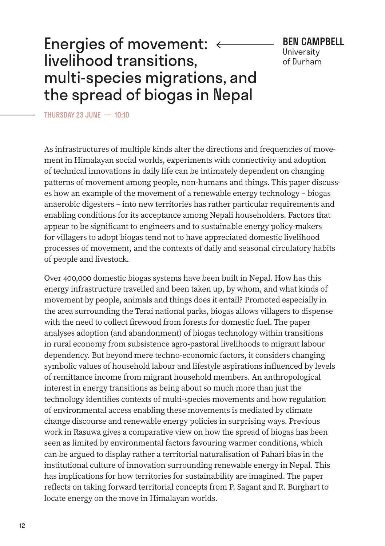#### Energies of movement: livelihood transitions, multi‑species migrations, and the spread of biogas in Nepal

BEN CAMPBELL **University** of Durham

THURSDAY 23 JUNE — 10:10

As infrastructures of multiple kinds alter the directions and frequencies of movement in Himalayan social worlds, experiments with connectivity and adoption of technical innovations in daily life can be intimately dependent on changing patterns of movement among people, non-humans and things. This paper discusses how an example of the movement of a renewable energy technology – biogas anaerobic digesters – into new territories has rather particular requirements and enabling conditions for its acceptance among Nepali householders. Factors that appear to be significant to engineers and to sustainable energy policy-makers for villagers to adopt biogas tend not to have appreciated domestic livelihood processes of movement, and the contexts of daily and seasonal circulatory habits of people and livestock.

Over 400,000 domestic biogas systems have been built in Nepal. How has this energy infrastructure travelled and been taken up, by whom, and what kinds of movement by people, animals and things does it entail? Promoted especially in the area surrounding the Terai national parks, biogas allows villagers to dispense with the need to collect firewood from forests for domestic fuel. The paper analyses adoption (and abandonment) of biogas technology within transitions in rural economy from subsistence agro-pastoral livelihoods to migrant labour dependency. But beyond mere techno-economic factors, it considers changing symbolic values of household labour and lifestyle aspirations influenced by levels of remittance income from migrant household members. An anthropological interest in energy transitions as being about so much more than just the technology identifies contexts of multi-species movements and how regulation of environmental access enabling these movements is mediated by climate change discourse and renewable energy policies in surprising ways. Previous work in Rasuwa gives a comparative view on how the spread of biogas has been seen as limited by environmental factors favouring warmer conditions, which can be argued to display rather a territorial naturalisation of Pahari bias in the institutional culture of innovation surrounding renewable energy in Nepal. This has implications for how territories for sustainability are imagined. The paper reflects on taking forward territorial concepts from P. Sagant and R. Burghart to locate energy on the move in Himalayan worlds.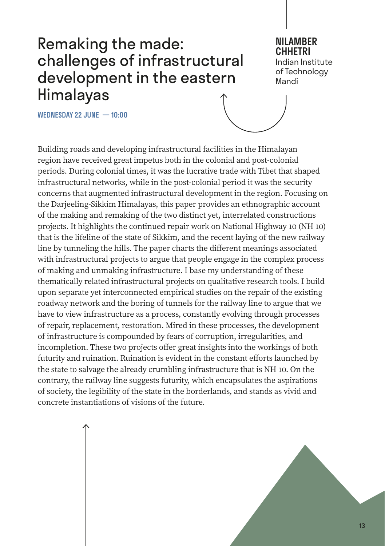#### Remaking the made: challenges of infrastructural development in the eastern Himalayas

#### NILAMBER CHHETRI

Indian Institute of Technology Mandi

WEDNESDAY 22 JUNE — 10:00

Building roads and developing infrastructural facilities in the Himalayan region have received great impetus both in the colonial and post-colonial periods. During colonial times, it was the lucrative trade with Tibet that shaped infrastructural networks, while in the post-colonial period it was the security concerns that augmented infrastructural development in the region. Focusing on the Darjeeling-Sikkim Himalayas, this paper provides an ethnographic account of the making and remaking of the two distinct yet, interrelated constructions projects. It highlights the continued repair work on National Highway 10 (NH 10) that is the lifeline of the state of Sikkim, and the recent laying of the new railway line by tunneling the hills. The paper charts the different meanings associated with infrastructural projects to argue that people engage in the complex process of making and unmaking infrastructure. I base my understanding of these thematically related infrastructural projects on qualitative research tools. I build upon separate yet interconnected empirical studies on the repair of the existing roadway network and the boring of tunnels for the railway line to argue that we have to view infrastructure as a process, constantly evolving through processes of repair, replacement, restoration. Mired in these processes, the development of infrastructure is compounded by fears of corruption, irregularities, and incompletion. These two projects offer great insights into the workings of both futurity and ruination. Ruination is evident in the constant efforts launched by the state to salvage the already crumbling infrastructure that is NH 10. On the contrary, the railway line suggests futurity, which encapsulates the aspirations of society, the legibility of the state in the borderlands, and stands as vivid and concrete instantiations of visions of the future.

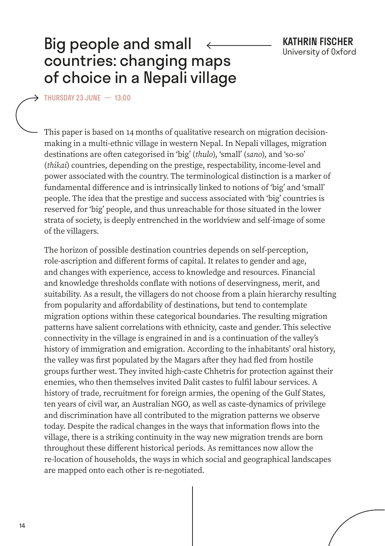#### Big people and small countries: changing maps of choice in a Nepali village

THURSDAY 23 JUNE — 13:00

This paper is based on 14 months of qualitative research on migration decisionmaking in a multi-ethnic village in western Nepal. In Nepali villages, migration destinations are often categorised in 'big' (*thulo*), 'small' (*sano*), and 'so-so' (*thikai*) countries, depending on the prestige, respectability, income-level and power associated with the country. The terminological distinction is a marker of fundamental difference and is intrinsically linked to notions of 'big' and 'small' people. The idea that the prestige and success associated with 'big' countries is reserved for 'big' people, and thus unreachable for those situated in the lower strata of society, is deeply entrenched in the worldview and self-image of some of the villagers.

The horizon of possible destination countries depends on self-perception, role-ascription and different forms of capital. It relates to gender and age, and changes with experience, access to knowledge and resources. Financial and knowledge thresholds conflate with notions of deservingness, merit, and suitability. As a result, the villagers do not choose from a plain hierarchy resulting from popularity and affordability of destinations, but tend to contemplate migration options within these categorical boundaries. The resulting migration patterns have salient correlations with ethnicity, caste and gender. This selective connectivity in the village is engrained in and is a continuation of the valley's history of immigration and emigration. According to the inhabitants' oral history, the valley was first populated by the Magars after they had fled from hostile groups further west. They invited high-caste Chhetris for protection against their enemies, who then themselves invited Dalit castes to fulfil labour services. A history of trade, recruitment for foreign armies, the opening of the Gulf States, ten years of civil war, an Australian NGO, as well as caste-dynamics of privilege and discrimination have all contributed to the migration patterns we observe today. Despite the radical changes in the ways that information flows into the village, there is a striking continuity in the way new migration trends are born throughout these different historical periods. As remittances now allow the re-location of households, the ways in which social and geographical landscapes are mapped onto each other is re-negotiated.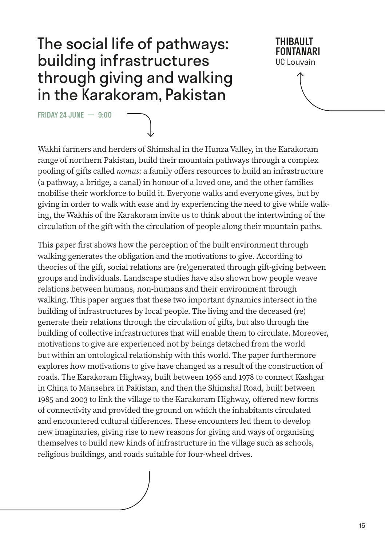#### The social life of pathways: building infrastructures through giving and walking in the Karakoram, Pakistan

FRIDAY 24 JUNE — 9:00

THIBAULT FONTANARI UC Louvain

Wakhi farmers and herders of Shimshal in the Hunza Valley, in the Karakoram range of northern Pakistan, build their mountain pathways through a complex pooling of gifts called *nomus*: a family offers resources to build an infrastructure (a pathway, a bridge, a canal) in honour of a loved one, and the other families mobilise their workforce to build it. Everyone walks and everyone gives, but by giving in order to walk with ease and by experiencing the need to give while walking, the Wakhis of the Karakoram invite us to think about the intertwining of the circulation of the gift with the circulation of people along their mountain paths.

This paper first shows how the perception of the built environment through walking generates the obligation and the motivations to give. According to theories of the gift, social relations are (re)generated through gift-giving between groups and individuals. Landscape studies have also shown how people weave relations between humans, non-humans and their environment through walking. This paper argues that these two important dynamics intersect in the building of infrastructures by local people. The living and the deceased (re) generate their relations through the circulation of gifts, but also through the building of collective infrastructures that will enable them to circulate. Moreover, motivations to give are experienced not by beings detached from the world but within an ontological relationship with this world. The paper furthermore explores how motivations to give have changed as a result of the construction of roads. The Karakoram Highway, built between 1966 and 1978 to connect Kashgar in China to Mansehra in Pakistan, and then the Shimshal Road, built between 1985 and 2003 to link the village to the Karakoram Highway, offered new forms of connectivity and provided the ground on which the inhabitants circulated and encountered cultural differences. These encounters led them to develop new imaginaries, giving rise to new reasons for giving and ways of organising themselves to build new kinds of infrastructure in the village such as schools, religious buildings, and roads suitable for four-wheel drives.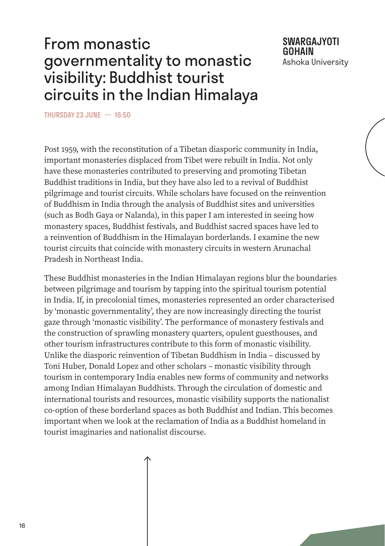#### From monastic governmentality to monastic visibility: Buddhist tourist circuits in the Indian Himalaya

SWARGAJYOTI GOHAIN Ashoka University

THURSDAY 23 JUNE — 16:50

Post 1959, with the reconstitution of a Tibetan diasporic community in India, important monasteries displaced from Tibet were rebuilt in India. Not only have these monasteries contributed to preserving and promoting Tibetan Buddhist traditions in India, but they have also led to a revival of Buddhist pilgrimage and tourist circuits. While scholars have focused on the reinvention of Buddhism in India through the analysis of Buddhist sites and universities (such as Bodh Gaya or Nalanda), in this paper I am interested in seeing how monastery spaces, Buddhist festivals, and Buddhist sacred spaces have led to a reinvention of Buddhism in the Himalayan borderlands. I examine the new tourist circuits that coincide with monastery circuits in western Arunachal Pradesh in Northeast India.

These Buddhist monasteries in the Indian Himalayan regions blur the boundaries between pilgrimage and tourism by tapping into the spiritual tourism potential in India. If, in precolonial times, monasteries represented an order characterised by 'monastic governmentality', they are now increasingly directing the tourist gaze through 'monastic visibility'. The performance of monastery festivals and the construction of sprawling monastery quarters, opulent guesthouses, and other tourism infrastructures contribute to this form of monastic visibility. Unlike the diasporic reinvention of Tibetan Buddhism in India – discussed by Toni Huber, Donald Lopez and other scholars – monastic visibility through tourism in contemporary India enables new forms of community and networks among Indian Himalayan Buddhists. Through the circulation of domestic and international tourists and resources, monastic visibility supports the nationalist co-option of these borderland spaces as both Buddhist and Indian. This becomes important when we look at the reclamation of India as a Buddhist homeland in tourist imaginaries and nationalist discourse.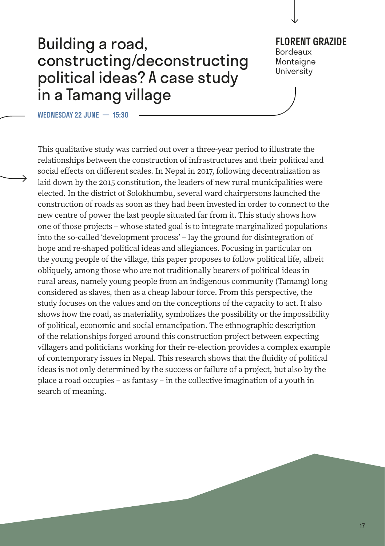#### Building a road, constructing/deconstructing political ideas? A case study in a Tamang village

FLORENT GRAZIDE Bordeaux Montaigne

University

WEDNESDAY 22 JUNE — 15:30

This qualitative study was carried out over a three-year period to illustrate the relationships between the construction of infrastructures and their political and social effects on different scales. In Nepal in 2017, following decentralization as laid down by the 2015 constitution, the leaders of new rural municipalities were elected. In the district of Solokhumbu, several ward chairpersons launched the construction of roads as soon as they had been invested in order to connect to the new centre of power the last people situated far from it. This study shows how one of those projects – whose stated goal is to integrate marginalized populations into the so-called 'development process' – lay the ground for disintegration of hope and re-shaped political ideas and allegiances. Focusing in particular on the young people of the village, this paper proposes to follow political life, albeit obliquely, among those who are not traditionally bearers of political ideas in rural areas, namely young people from an indigenous community (Tamang) long considered as slaves, then as a cheap labour force. From this perspective, the study focuses on the values and on the conceptions of the capacity to act. It also shows how the road, as materiality, symbolizes the possibility or the impossibility of political, economic and social emancipation. The ethnographic description of the relationships forged around this construction project between expecting villagers and politicians working for their re-election provides a complex example of contemporary issues in Nepal. This research shows that the fluidity of political ideas is not only determined by the success or failure of a project, but also by the place a road occupies – as fantasy – in the collective imagination of a youth in search of meaning.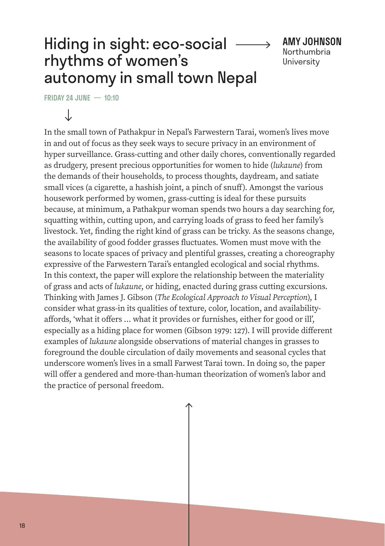#### Hiding in sight: eco-social rhythms of women's autonomy in small town Nepal

AMY JOHNSON Northumbria **University** 

FRIDAY 24 JUNE  $-$  10:10

J

In the small town of Pathakpur in Nepal's Farwestern Tarai, women's lives move in and out of focus as they seek ways to secure privacy in an environment of hyper surveillance. Grass-cutting and other daily chores, conventionally regarded as drudgery, present precious opportunities for women to hide (*lukaune*) from the demands of their households, to process thoughts, daydream, and satiate small vices (a cigarette, a hashish joint, a pinch of snuff). Amongst the various housework performed by women, grass-cutting is ideal for these pursuits because, at minimum, a Pathakpur woman spends two hours a day searching for, squatting within, cutting upon, and carrying loads of grass to feed her family's livestock. Yet, finding the right kind of grass can be tricky. As the seasons change, the availability of good fodder grasses fluctuates. Women must move with the seasons to locate spaces of privacy and plentiful grasses, creating a choreography expressive of the Farwestern Tarai's entangled ecological and social rhythms. In this context, the paper will explore the relationship between the materiality of grass and acts of *lukaune*, or hiding, enacted during grass cutting excursions. Thinking with James J. Gibson (*The Ecological Approach to Visual Perception*), I consider what grass-in its qualities of texture, color, location, and availabilityaffords, 'what it offers ... what it provides or furnishes, either for good or ill', especially as a hiding place for women (Gibson 1979: 127). I will provide different examples of *lukaune* alongside observations of material changes in grasses to foreground the double circulation of daily movements and seasonal cycles that underscore women's lives in a small Farwest Tarai town. In doing so, the paper will offer a gendered and more-than-human theorization of women's labor and the practice of personal freedom.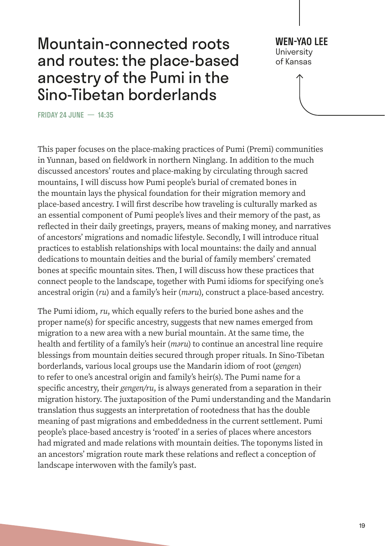#### Mountain-connected roots and routes: the place-based ancestry of the Pumi in the Sino-Tibetan borderlands

WEN-YAO I FF **University** of Kansas

FRIDAY 24 JUNE — 14:35

This paper focuses on the place-making practices of Pumi (Premi) communities in Yunnan, based on fieldwork in northern Ninglang. In addition to the much discussed ancestors' routes and place-making by circulating through sacred mountains, I will discuss how Pumi people's burial of cremated bones in the mountain lays the physical foundation for their migration memory and place-based ancestry. I will first describe how traveling is culturally marked as an essential component of Pumi people's lives and their memory of the past, as reflected in their daily greetings, prayers, means of making money, and narratives of ancestors' migrations and nomadic lifestyle. Secondly, I will introduce ritual practices to establish relationships with local mountains: the daily and annual dedications to mountain deities and the burial of family members' cremated bones at specific mountain sites. Then, I will discuss how these practices that connect people to the landscape, together with Pumi idioms for specifying one's ancestral origin (*ru*) and a family's heir (*məru*), construct a place-based ancestry.

The Pumi idiom, *ru*, which equally refers to the buried bone ashes and the proper name(s) for specific ancestry, suggests that new names emerged from migration to a new area with a new burial mountain. At the same time, the health and fertility of a family's heir (*məru*) to continue an ancestral line require blessings from mountain deities secured through proper rituals. In Sino-Tibetan borderlands, various local groups use the Mandarin idiom of root (*gengen*) to refer to one's ancestral origin and family's heir(s). The Pumi name for a specific ancestry, their *gengen/ru*, is always generated from a separation in their migration history. The juxtaposition of the Pumi understanding and the Mandarin translation thus suggests an interpretation of rootedness that has the double meaning of past migrations and embeddedness in the current settlement. Pumi people's place-based ancestry is 'rooted' in a series of places where ancestors had migrated and made relations with mountain deities. The toponyms listed in an ancestors' migration route mark these relations and reflect a conception of landscape interwoven with the family's past.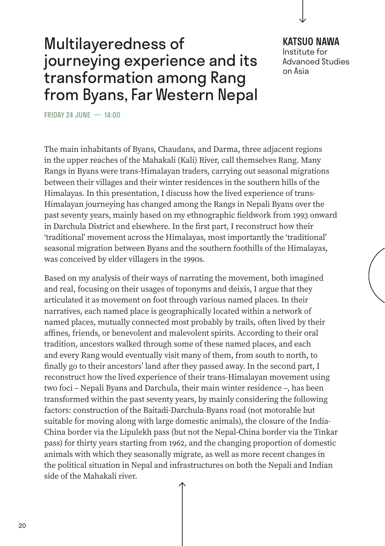#### Multilayeredness of journeying experience and its transformation among Rang from Byans, Far Western Nepal

#### KATSUO NAWA Institute for Advanced Studies on Asia

FRIDAY 24 JUNE — 14:00

The main inhabitants of Byans, Chaudans, and Darma, three adjacent regions in the upper reaches of the Mahakali (Kali) River, call themselves Rang. Many Rangs in Byans were trans-Himalayan traders, carrying out seasonal migrations between their villages and their winter residences in the southern hills of the Himalayas. In this presentation, I discuss how the lived experience of trans-Himalayan journeying has changed among the Rangs in Nepali Byans over the past seventy years, mainly based on my ethnographic fieldwork from 1993 onward in Darchula District and elsewhere. In the first part, I reconstruct how their 'traditional' movement across the Himalayas, most importantly the 'traditional' seasonal migration between Byans and the southern foothills of the Himalayas, was conceived by elder villagers in the 1990s.

Based on my analysis of their ways of narrating the movement, both imagined and real, focusing on their usages of toponyms and deixis, I argue that they articulated it as movement on foot through various named places. In their narratives, each named place is geographically located within a network of named places, mutually connected most probably by trails, often lived by their affines, friends, or benevolent and malevolent spirits. According to their oral tradition, ancestors walked through some of these named places, and each and every Rang would eventually visit many of them, from south to north, to finally go to their ancestors' land after they passed away. In the second part, I reconstruct how the lived experience of their trans-Himalayan movement using two foci – Nepali Byans and Darchula, their main winter residence –, has been transformed within the past seventy years, by mainly considering the following factors: construction of the Baitadi-Darchula-Byans road (not motorable but suitable for moving along with large domestic animals), the closure of the India-China border via the Lipulekh pass (but not the Nepal-China border via the Tinkar pass) for thirty years starting from 1962, and the changing proportion of domestic animals with which they seasonally migrate, as well as more recent changes in the political situation in Nepal and infrastructures on both the Nepali and Indian side of the Mahakali river.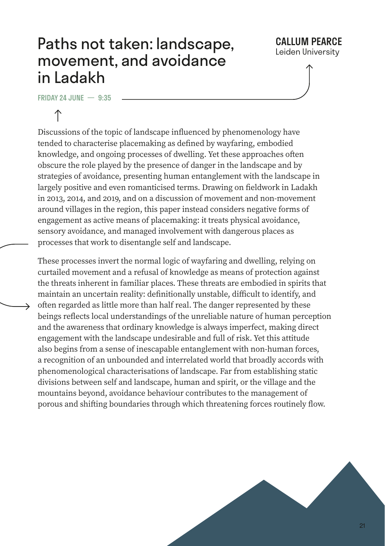#### Paths not taken: landscape, movement, and avoidance in Ladakh

#### CALLUM PFARCE Leiden University

FRIDAY 24 JUNE  $-$  9:35



Discussions of the topic of landscape influenced by phenomenology have tended to characterise placemaking as defined by wayfaring, embodied knowledge, and ongoing processes of dwelling. Yet these approaches often obscure the role played by the presence of danger in the landscape and by strategies of avoidance, presenting human entanglement with the landscape in largely positive and even romanticised terms. Drawing on fieldwork in Ladakh in 2013, 2014, and 2019, and on a discussion of movement and non-movement around villages in the region, this paper instead considers negative forms of engagement as active means of placemaking: it treats physical avoidance, sensory avoidance, and managed involvement with dangerous places as processes that work to disentangle self and landscape.

These processes invert the normal logic of wayfaring and dwelling, relying on curtailed movement and a refusal of knowledge as means of protection against the threats inherent in familiar places. These threats are embodied in spirits that maintain an uncertain reality: definitionally unstable, difficult to identify, and often regarded as little more than half real. The danger represented by these beings reflects local understandings of the unreliable nature of human perception and the awareness that ordinary knowledge is always imperfect, making direct engagement with the landscape undesirable and full of risk. Yet this attitude also begins from a sense of inescapable entanglement with non-human forces, a recognition of an unbounded and interrelated world that broadly accords with phenomenological characterisations of landscape. Far from establishing static divisions between self and landscape, human and spirit, or the village and the mountains beyond, avoidance behaviour contributes to the management of porous and shifting boundaries through which threatening forces routinely flow.

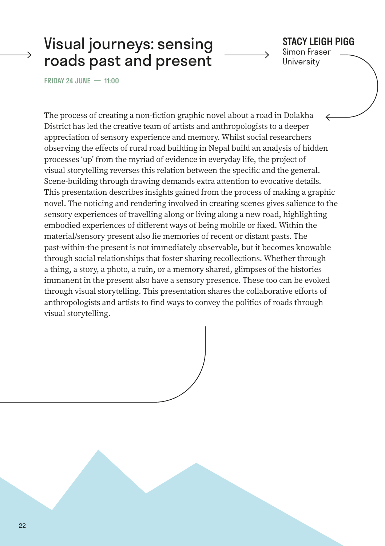#### Visual journeys: sensing roads past and present

#### STACY LEIGH PIGG Simon Fraser

**University** 

FRIDAY 24 JUNE — 11:00

The process of creating a non-fiction graphic novel about a road in Dolakha District has led the creative team of artists and anthropologists to a deeper appreciation of sensory experience and memory. Whilst social researchers observing the effects of rural road building in Nepal build an analysis of hidden processes 'up' from the myriad of evidence in everyday life, the project of visual storytelling reverses this relation between the specific and the general. Scene-building through drawing demands extra attention to evocative details. This presentation describes insights gained from the process of making a graphic novel. The noticing and rendering involved in creating scenes gives salience to the sensory experiences of travelling along or living along a new road, highlighting embodied experiences of different ways of being mobile or fixed. Within the material/sensory present also lie memories of recent or distant pasts. The past-within-the present is not immediately observable, but it becomes knowable through social relationships that foster sharing recollections. Whether through a thing, a story, a photo, a ruin, or a memory shared, glimpses of the histories immanent in the present also have a sensory presence. These too can be evoked through visual storytelling. This presentation shares the collaborative efforts of anthropologists and artists to find ways to convey the politics of roads through visual storytelling.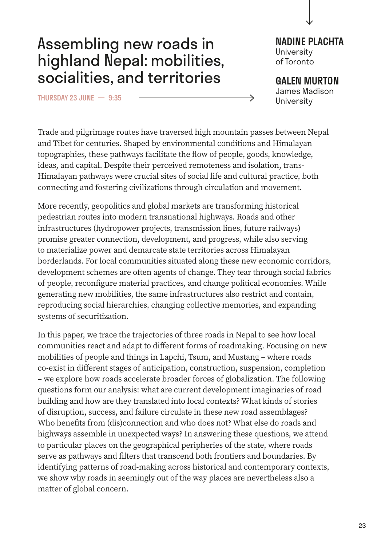#### Assembling new roads in highland Nepal: mobilities, socialities, and territories

THURSDAY 23 JUNE — 9:35

NADINE PLACHTA **University** of Toronto

GALEN MURTON James Madison

University

Trade and pilgrimage routes have traversed high mountain passes between Nepal and Tibet for centuries. Shaped by environmental conditions and Himalayan topographies, these pathways facilitate the flow of people, goods, knowledge, ideas, and capital. Despite their perceived remoteness and isolation, trans-Himalayan pathways were crucial sites of social life and cultural practice, both connecting and fostering civilizations through circulation and movement.

More recently, geopolitics and global markets are transforming historical pedestrian routes into modern transnational highways. Roads and other infrastructures (hydropower projects, transmission lines, future railways) promise greater connection, development, and progress, while also serving to materialize power and demarcate state territories across Himalayan borderlands. For local communities situated along these new economic corridors, development schemes are often agents of change. They tear through social fabrics of people, reconfigure material practices, and change political economies. While generating new mobilities, the same infrastructures also restrict and contain, reproducing social hierarchies, changing collective memories, and expanding systems of securitization.

In this paper, we trace the trajectories of three roads in Nepal to see how local communities react and adapt to different forms of roadmaking. Focusing on new mobilities of people and things in Lapchi, Tsum, and Mustang – where roads co-exist in different stages of anticipation, construction, suspension, completion – we explore how roads accelerate broader forces of globalization. The following questions form our analysis: what are current development imaginaries of road building and how are they translated into local contexts? What kinds of stories of disruption, success, and failure circulate in these new road assemblages? Who benefits from (dis)connection and who does not? What else do roads and highways assemble in unexpected ways? In answering these questions, we attend to particular places on the geographical peripheries of the state, where roads serve as pathways and filters that transcend both frontiers and boundaries. By identifying patterns of road-making across historical and contemporary contexts, we show why roads in seemingly out of the way places are nevertheless also a matter of global concern.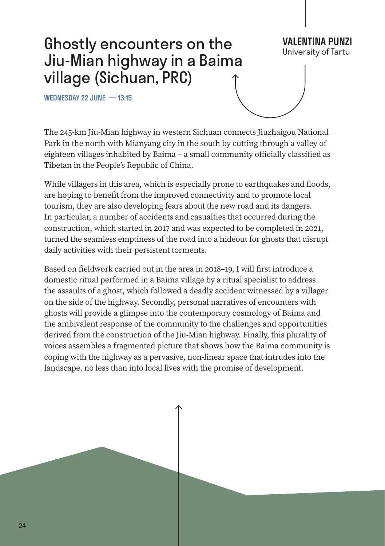## Ghostly encounters on the Jiu-Mian highway in a Baima village (Sichuan, PRC)

WEDNESDAY 22 JUNE — 13:15

The 245-km Jiu-Mian highway in western Sichuan connects Jiuzhaigou National Park in the north with Mianyang city in the south by cutting through a valley of eighteen villages inhabited by Baima – a small community officially classified as Tibetan in the People's Republic of China.

**VALENTINA PUNZI**<br>University of Tartu

While villagers in this area, which is especially prone to earthquakes and floods, are hoping to benefit from the improved connectivity and to promote local tourism, they are also developing fears about the new road and its dangers. In particular, a number of accidents and casualties that occurred during the construction, which started in 2017 and was expected to be completed in 2021, turned the seamless emptiness of the road into a hideout for ghosts that disrupt daily activities with their persistent torments.

Based on fieldwork carried out in the area in 2018–19, I will first introduce a domestic ritual performed in a Baima village by a ritual specialist to address the assaults of a ghost, which followed a deadly accident witnessed by a villager on the side of the highway. Secondly, personal narratives of encounters with ghosts will provide a glimpse into the contemporary cosmology of Baima and the ambivalent response of the community to the challenges and opportunities derived from the construction of the Jiu-Mian highway. Finally, this plurality of voices assembles a fragmented picture that shows how the Baima community is coping with the highway as a pervasive, non-linear space that intrudes into the landscape, no less than into local lives with the promise of development.

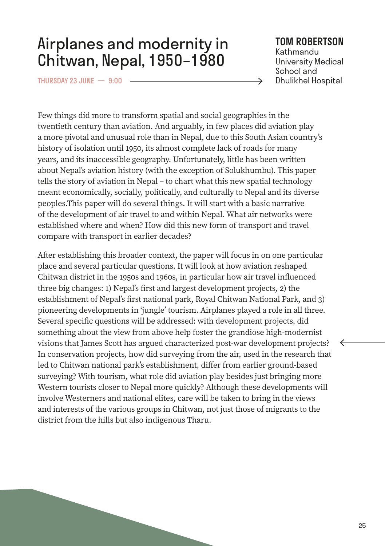#### Airplanes and modernity in Chitwan, Nepal, 1950–1980

THURSDAY 23 JUNE — 9:00

#### TOM ROBERTSON

Kathmandu University Medical School and Dhulikhel Hospital

→

Few things did more to transform spatial and social geographies in the twentieth century than aviation. And arguably, in few places did aviation play a more pivotal and unusual role than in Nepal, due to this South Asian country's history of isolation until 1950, its almost complete lack of roads for many years, and its inaccessible geography. Unfortunately, little has been written about Nepal's aviation history (with the exception of Solukhumbu). This paper tells the story of aviation in Nepal – to chart what this new spatial technology meant economically, socially, politically, and culturally to Nepal and its diverse peoples.This paper will do several things. It will start with a basic narrative of the development of air travel to and within Nepal. What air networks were established where and when? How did this new form of transport and travel compare with transport in earlier decades?

After establishing this broader context, the paper will focus in on one particular place and several particular questions. It will look at how aviation reshaped Chitwan district in the 1950s and 1960s, in particular how air travel influenced three big changes: 1) Nepal's first and largest development projects, 2) the establishment of Nepal's first national park, Royal Chitwan National Park, and 3) pioneering developments in 'jungle' tourism. Airplanes played a role in all three. Several specific questions will be addressed: with development projects, did something about the view from above help foster the grandiose high-modernist visions that James Scott has argued characterized post-war development projects? In conservation projects, how did surveying from the air, used in the research that led to Chitwan national park's establishment, differ from earlier ground-based surveying? With tourism, what role did aviation play besides just bringing more Western tourists closer to Nepal more quickly? Although these developments will involve Westerners and national elites, care will be taken to bring in the views and interests of the various groups in Chitwan, not just those of migrants to the district from the hills but also indigenous Tharu.

 $\leftarrow$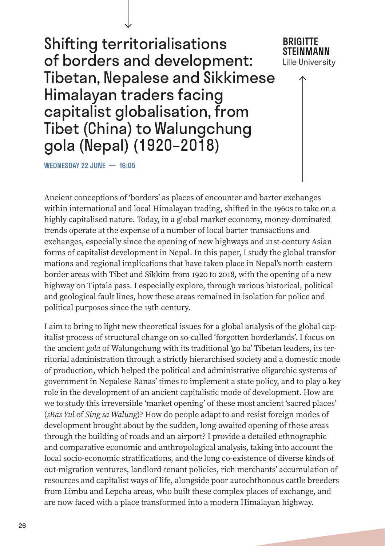Shifting territorialisations of borders and development: Tibetan, Nepalese and Sikkimese Himalayan traders facing capitalist globalisation, from Tibet (China) to Walungchung gola (Nepal) (1920–2018)

**BRIGITTE** STEINMANN Lille University

WEDNESDAY 22 JUNE — 16:05

Ancient conceptions of 'borders' as places of encounter and barter exchanges within international and local Himalayan trading, shifted in the 1960s to take on a highly capitalised nature. Today, in a global market economy, money-dominated trends operate at the expense of a number of local barter transactions and exchanges, especially since the opening of new highways and 21st-century Asian forms of capitalist development in Nepal. In this paper, I study the global transformations and regional implications that have taken place in Nepal's north-eastern border areas with Tibet and Sikkim from 1920 to 2018, with the opening of a new highway on Tiptala pass. I especially explore, through various historical, political and geological fault lines, how these areas remained in isolation for police and political purposes since the 19th century.

I aim to bring to light new theoretical issues for a global analysis of the global capitalist process of structural change on so-called 'forgotten borderlands'. I focus on the ancient *gola* of Walungchung with its traditional 'go ba' Tibetan leaders, its territorial administration through a strictly hierarchised society and a domestic mode of production, which helped the political and administrative oligarchic systems of government in Nepalese Ranas' times to implement a state policy, and to play a key role in the development of an ancient capitalistic mode of development. How are we to study this irreversible 'market opening' of these most ancient 'sacred places' (*sBas Yul* of *Sing sa Walung*)? How do people adapt to and resist foreign modes of development brought about by the sudden, long-awaited opening of these areas through the building of roads and an airport? I provide a detailed ethnographic and comparative economic and anthropological analysis, taking into account the local socio-economic stratifications, and the long co-existence of diverse kinds of out-migration ventures, landlord-tenant policies, rich merchants' accumulation of resources and capitalist ways of life, alongside poor autochthonous cattle breeders from Limbu and Lepcha areas, who built these complex places of exchange, and are now faced with a place transformed into a modern Himalayan highway.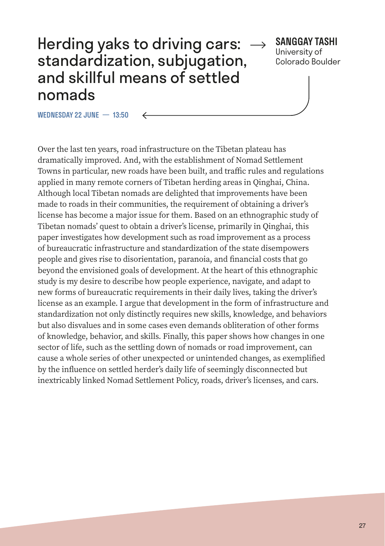#### Herding yaks to driving cars: standardization, subjugation, and skillful means of settled nomads

#### SANGGAY TASHI

University of Colorado Boulder

WEDNESDAY 22 JUNE — 13:50

Over the last ten years, road infrastructure on the Tibetan plateau has dramatically improved. And, with the establishment of Nomad Settlement Towns in particular, new roads have been built, and traffic rules and regulations applied in many remote corners of Tibetan herding areas in Qinghai, China. Although local Tibetan nomads are delighted that improvements have been made to roads in their communities, the requirement of obtaining a driver's license has become a major issue for them. Based on an ethnographic study of Tibetan nomads' quest to obtain a driver's license, primarily in Qinghai, this paper investigates how development such as road improvement as a process of bureaucratic infrastructure and standardization of the state disempowers people and gives rise to disorientation, paranoia, and financial costs that go beyond the envisioned goals of development. At the heart of this ethnographic study is my desire to describe how people experience, navigate, and adapt to new forms of bureaucratic requirements in their daily lives, taking the driver's license as an example. I argue that development in the form of infrastructure and standardization not only distinctly requires new skills, knowledge, and behaviors but also disvalues and in some cases even demands obliteration of other forms of knowledge, behavior, and skills. Finally, this paper shows how changes in one sector of life, such as the settling down of nomads or road improvement, can cause a whole series of other unexpected or unintended changes, as exemplified by the influence on settled herder's daily life of seemingly disconnected but inextricably linked Nomad Settlement Policy, roads, driver's licenses, and cars.